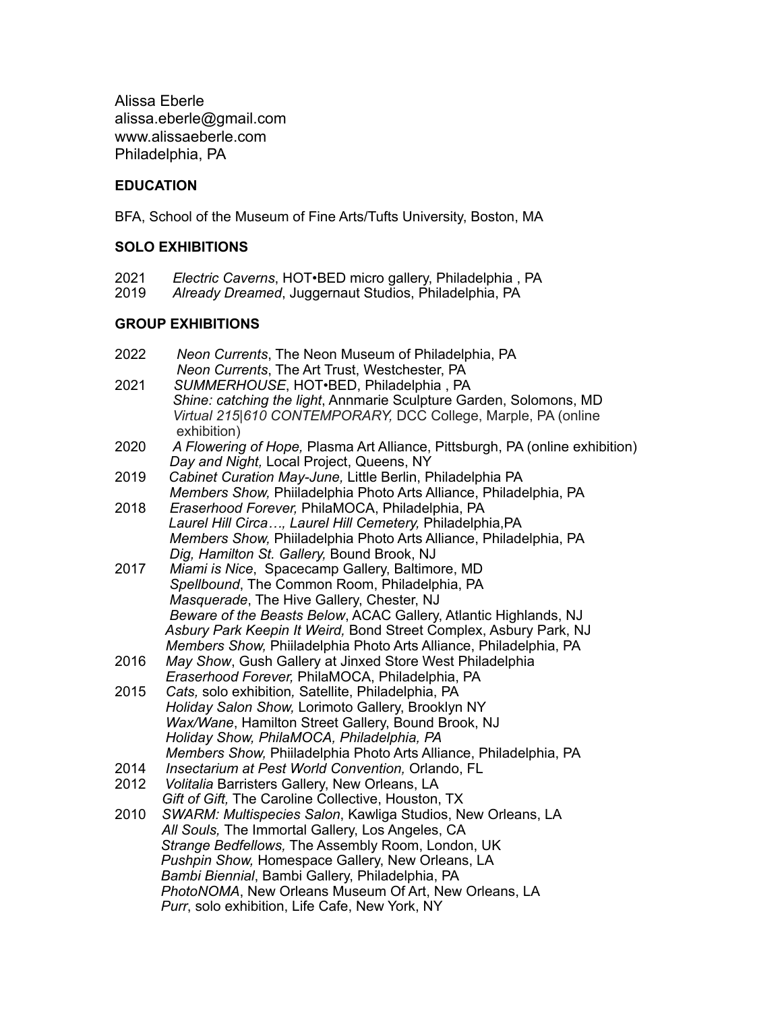Alissa Eberle alissa.eberle@gmail.com www.alissaeberle.com Philadelphia, PA

# **EDUCATION**

BFA, School of the Museum of Fine Arts/Tufts University, Boston, MA

# **SOLO EXHIBITIONS**

- 2021 *Electric Caverns*, HOT•BED micro gallery, Philadelphia , PA
- 2019 *Already Dreamed*, Juggernaut Studios, Philadelphia, PA

# **GROUP EXHIBITIONS**

| 2022 | Neon Currents, The Neon Museum of Philadelphia, PA                           |
|------|------------------------------------------------------------------------------|
|      | Neon Currents, The Art Trust, Westchester, PA                                |
| 2021 | SUMMERHOUSE, HOT.BED, Philadelphia, PA                                       |
|      | Shine: catching the light, Annmarie Sculpture Garden, Solomons, MD           |
|      | Virtual 215 610 CONTEMPORARY, DCC College, Marple, PA (online                |
|      | exhibition)                                                                  |
| 2020 | A Flowering of Hope, Plasma Art Alliance, Pittsburgh, PA (online exhibition) |
|      | Day and Night, Local Project, Queens, NY                                     |
| 2019 | Cabinet Curation May-June, Little Berlin, Philadelphia PA                    |
|      | Members Show, Phiiladelphia Photo Arts Alliance, Philadelphia, PA            |
| 2018 | Eraserhood Forever, PhilaMOCA, Philadelphia, PA                              |
|      | Laurel Hill Circa, Laurel Hill Cemetery, Philadelphia, PA                    |
|      | Members Show, Phiiladelphia Photo Arts Alliance, Philadelphia, PA            |
|      | Dig, Hamilton St. Gallery, Bound Brook, NJ                                   |
| 2017 | Miami is Nice, Spacecamp Gallery, Baltimore, MD                              |
|      | Spellbound, The Common Room, Philadelphia, PA                                |
|      | Masquerade, The Hive Gallery, Chester, NJ                                    |
|      | Beware of the Beasts Below, ACAC Gallery, Atlantic Highlands, NJ             |
|      | Asbury Park Keepin It Weird, Bond Street Complex, Asbury Park, NJ            |
|      | Members Show, Phiiladelphia Photo Arts Alliance, Philadelphia, PA            |
| 2016 | May Show, Gush Gallery at Jinxed Store West Philadelphia                     |
|      | Eraserhood Forever, PhilaMOCA, Philadelphia, PA                              |
| 2015 | Cats, solo exhibition, Satellite, Philadelphia, PA                           |
|      | Holiday Salon Show, Lorimoto Gallery, Brooklyn NY                            |
|      | Wax/Wane, Hamilton Street Gallery, Bound Brook, NJ                           |
|      | Holiday Show, PhilaMOCA, Philadelphia, PA                                    |
|      | Members Show, Phiiladelphia Photo Arts Alliance, Philadelphia, PA            |
| 2014 | Insectarium at Pest World Convention, Orlando, FL                            |
| 2012 | Volitalia Barristers Gallery, New Orleans, LA                                |
|      | Gift of Gift, The Caroline Collective, Houston, TX                           |
| 2010 | SWARM: Multispecies Salon, Kawliga Studios, New Orleans, LA                  |
|      | All Souls, The Immortal Gallery, Los Angeles, CA                             |
|      | Strange Bedfellows, The Assembly Room, London, UK                            |
|      | Pushpin Show, Homespace Gallery, New Orleans, LA                             |
|      | Bambi Biennial, Bambi Gallery, Philadelphia, PA                              |
|      | PhotoNOMA, New Orleans Museum Of Art, New Orleans, LA                        |
|      | Purr, solo exhibition, Life Cafe, New York, NY                               |